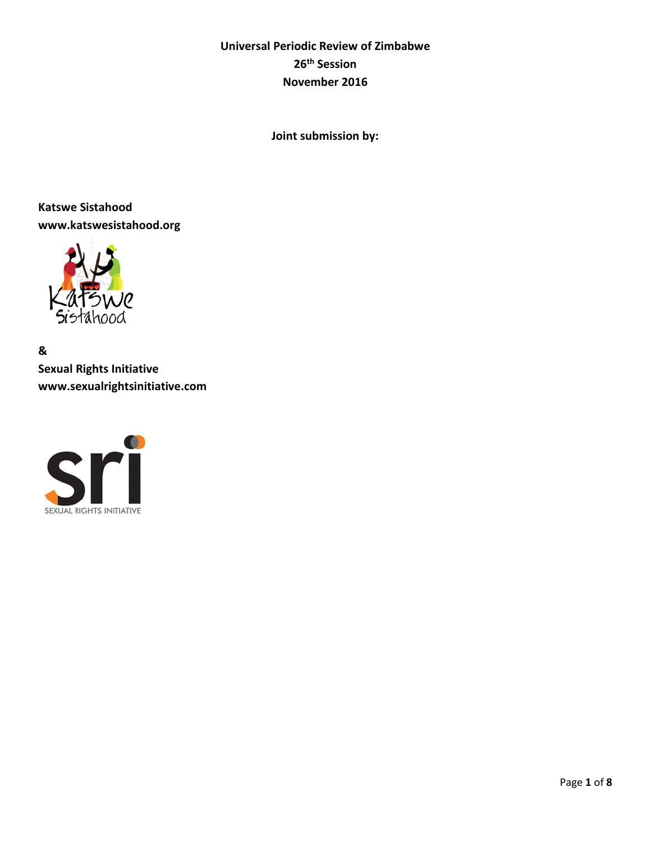# **Universal Periodic Review of Zimbabwe 26th Session November 2016**

**Joint submission by:**

**Katswe Sistahood www.katswesistahood.org**



**& Sexual Rights Initiative www.sexualrightsinitiative.com**

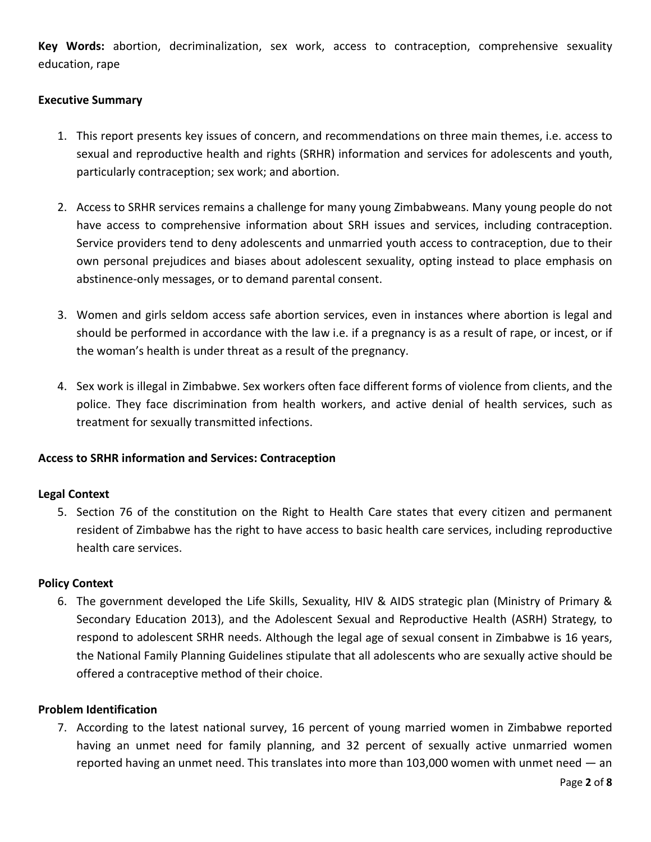**Key Words:** abortion, decriminalization, sex work, access to contraception, comprehensive sexuality education, rape

# **Executive Summary**

- 1. This report presents key issues of concern, and recommendations on three main themes, i.e. access to sexual and reproductive health and rights (SRHR) information and services for adolescents and youth, particularly contraception; sex work; and abortion.
- 2. Access to SRHR services remains a challenge for many young Zimbabweans. Many young people do not have access to comprehensive information about SRH issues and services, including contraception. Service providers tend to deny adolescents and unmarried youth access to contraception, due to their own personal prejudices and biases about adolescent sexuality, opting instead to place emphasis on abstinence-only messages, or to demand parental consent.
- 3. Women and girls seldom access safe abortion services, even in instances where abortion is legal and should be performed in accordance with the law i.e. if a pregnancy is as a result of rape, or incest, or if the woman's health is under threat as a result of the pregnancy.
- 4. Sex work is illegal in Zimbabwe. Sex workers often face different forms of violence from clients, and the police. They face discrimination from health workers, and active denial of health services, such as treatment for sexually transmitted infections.

# **Access to SRHR information and Services: Contraception**

#### **Legal Context**

5. Section 76 of the constitution on the Right to Health Care states that every citizen and permanent resident of Zimbabwe has the right to have access to basic health care services, including reproductive health care services.

#### **Policy Context**

6. The government developed the Life Skills, Sexuality, HIV & AIDS strategic plan (Ministry of Primary & Secondary Education 2013), and the Adolescent Sexual and Reproductive Health (ASRH) Strategy, to respond to adolescent SRHR needs. Although the legal age of sexual consent in Zimbabwe is 16 years, the National Family Planning Guidelines stipulate that all adolescents who are sexually active should be offered a contraceptive method of their choice.

#### **Problem Identification**

7. According to the latest national survey, 16 percent of young married women in Zimbabwe reported having an unmet need for family planning, and 32 percent of sexually active unmarried women reported having an unmet need. This translates into more than  $103,000$  women with unmet need  $-$  an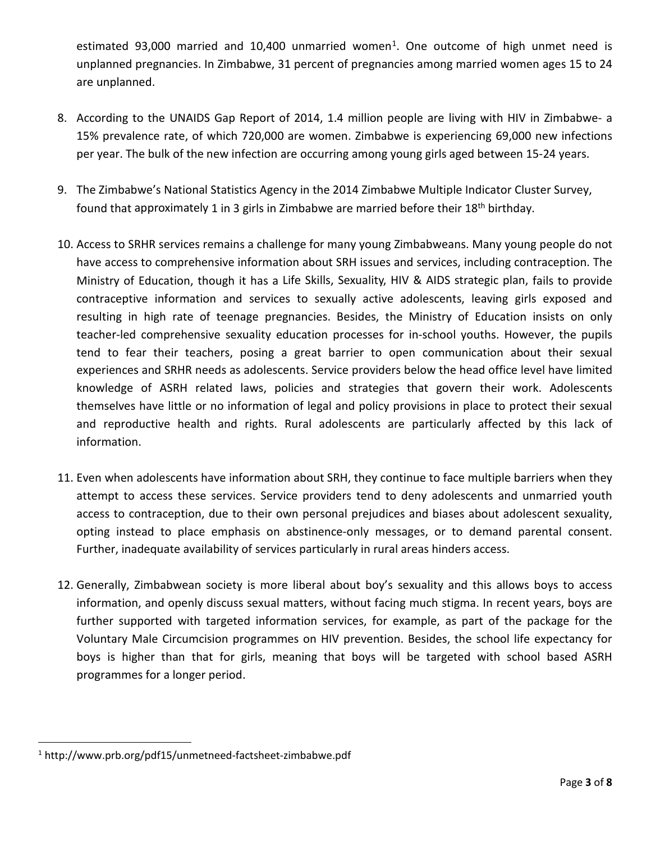estimated 93,000 married and 10,400 unmarried women<sup>1</sup>. One outcome of high unmet need is unplanned pregnancies. In Zimbabwe, 31 percent of pregnancies among married women ages 15 to 24 are unplanned.

- 8. According to the UNAIDS Gap Report of 2014, 1.4 million people are living with HIV in Zimbabwe- a 15% prevalence rate, of which 720,000 are women. Zimbabwe is experiencing 69,000 new infections per year. The bulk of the new infection are occurring among young girls aged between 15-24 years.
- 9. The Zimbabwe's National Statistics Agency in the 2014 [Zimbabwe Multiple Indicator Cluster Survey,](http://www.unicef.org/zimbabwe/Zim_MICS5_Final_Report_FINAL.pdf) found that approximately 1 in 3 girls in Zimbabwe are married before their 18<sup>th</sup> birthday.
- 10. Access to SRHR services remains a challenge for many young Zimbabweans. Many young people do not have access to comprehensive information about SRH issues and services, including contraception. The Ministry of Education, though it has a Life Skills, Sexuality, HIV & AIDS strategic plan, fails to provide contraceptive information and services to sexually active adolescents, leaving girls exposed and resulting in high rate of teenage pregnancies. Besides, the Ministry of Education insists on only teacher-led comprehensive sexuality education processes for in-school youths. However, the pupils tend to fear their teachers, posing a great barrier to open communication about their sexual experiences and SRHR needs as adolescents. Service providers below the head office level have limited knowledge of ASRH related laws, policies and strategies that govern their work. Adolescents themselves have little or no information of legal and policy provisions in place to protect their sexual and reproductive health and rights. Rural adolescents are particularly affected by this lack of information.
- 11. Even when adolescents have information about SRH, they continue to face multiple barriers when they attempt to access these services. Service providers tend to deny adolescents and unmarried youth access to contraception, due to their own personal prejudices and biases about adolescent sexuality, opting instead to place emphasis on abstinence-only messages, or to demand parental consent. Further, inadequate availability of services particularly in rural areas hinders access.
- 12. Generally, Zimbabwean society is more liberal about boy's sexuality and this allows boys to access information, and openly discuss sexual matters, without facing much stigma. In recent years, boys are further supported with targeted information services, for example, as part of the package for the Voluntary Male Circumcision programmes on HIV prevention. Besides, the school life expectancy for boys is higher than that for girls, meaning that boys will be targeted with school based ASRH programmes for a longer period.

<span id="page-2-0"></span> <sup>1</sup> http://www.prb.org/pdf15/unmetneed-factsheet-zimbabwe.pdf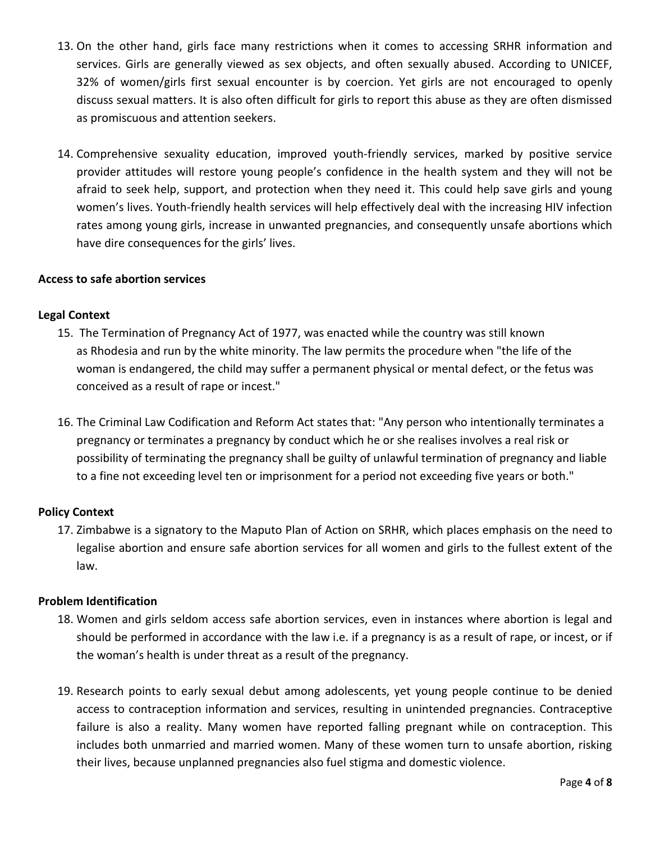- 13. On the other hand, girls face many restrictions when it comes to accessing SRHR information and services. Girls are generally viewed as sex objects, and often sexually abused. According to UNICEF, 32% of women/girls first sexual encounter is by coercion. Yet girls are not encouraged to openly discuss sexual matters. It is also often difficult for girls to report this abuse as they are often dismissed as promiscuous and attention seekers.
- 14. Comprehensive sexuality education, improved youth-friendly services, marked by positive service provider attitudes will restore young people's confidence in the health system and they will not be afraid to seek help, support, and protection when they need it. This could help save girls and young women's lives. Youth-friendly health services will help effectively deal with the increasing HIV infection rates among young girls, increase in unwanted pregnancies, and consequently unsafe abortions which have dire consequences for the girls' lives.

## **Access to safe abortion services**

## **Legal Context**

- 15. The Termination of Pregnancy Act of 1977, was enacted while the country was still known as [Rhodesia](https://en.wikipedia.org/wiki/Rhodesia) and run by the [white minority.](https://en.wikipedia.org/wiki/Whites_in_Zimbabwe) The law permits the procedure when "the life of the woman is endangered, the child may suffer a permanent physical or mental defect, or the [fetus](https://en.wikipedia.org/wiki/Fetus) was conceived as a result of [rape](https://en.wikipedia.org/wiki/Rape) or [incest.](https://en.wikipedia.org/wiki/Incest)"
- 16. The Criminal Law Codification and Reform Act states that: "Any person who intentionally terminates a pregnancy or terminates a pregnancy by conduct which he or she realises involves a real risk or possibility of terminating the pregnancy shall be guilty of unlawful termination of pregnancy and liable to a fine not exceeding level ten or imprisonment for a period not exceeding five years or both."

# **Policy Context**

17. Zimbabwe is a signatory to the Maputo Plan of Action on SRHR, which places emphasis on the need to legalise abortion and ensure safe abortion services for all women and girls to the fullest extent of the law.

# **Problem Identification**

- 18. Women and girls seldom access safe abortion services, even in instances where abortion is legal and should be performed in accordance with the law i.e. if a pregnancy is as a result of rape, or incest, or if the woman's health is under threat as a result of the pregnancy.
- 19. Research points to early sexual debut among adolescents, yet young people continue to be denied access to contraception information and services, resulting in unintended pregnancies. Contraceptive failure is also a reality. Many women have reported falling pregnant while on contraception. This includes both unmarried and married women. Many of these women turn to unsafe abortion, risking their lives, because unplanned pregnancies also fuel stigma and domestic violence.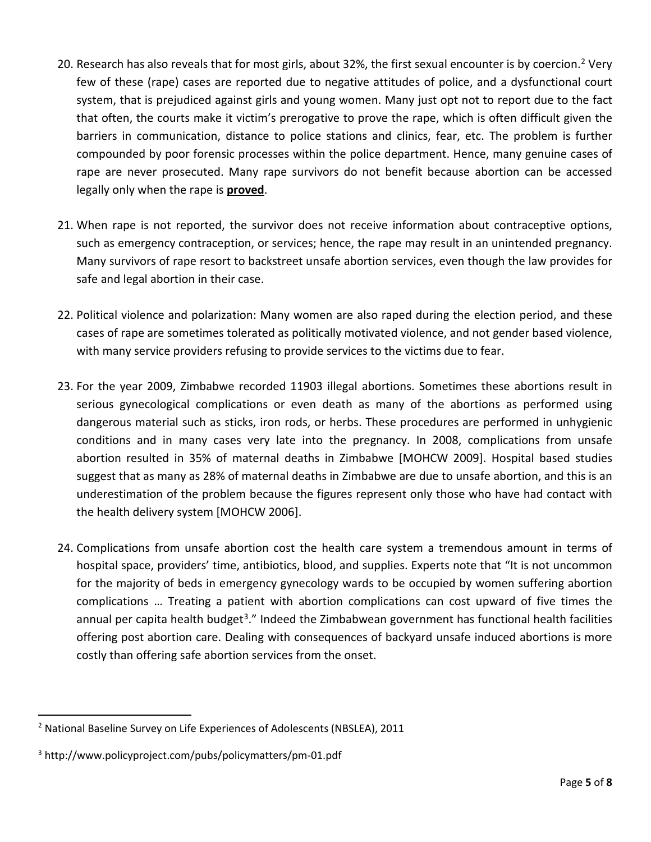- [2](#page-4-0)0. Research has also reveals that for most girls, about 32%, the first sexual encounter is by coercion.<sup>2</sup> Very few of these (rape) cases are reported due to negative attitudes of police, and a dysfunctional court system, that is prejudiced against girls and young women. Many just opt not to report due to the fact that often, the courts make it victim's prerogative to prove the rape, which is often difficult given the barriers in communication, distance to police stations and clinics, fear, etc. The problem is further compounded by poor forensic processes within the police department. Hence, many genuine cases of rape are never prosecuted. Many rape survivors do not benefit because abortion can be accessed legally only when the rape is **proved**.
- 21. When rape is not reported, the survivor does not receive information about contraceptive options, such as emergency contraception, or services; hence, the rape may result in an unintended pregnancy. Many survivors of rape resort to backstreet unsafe abortion services, even though the law provides for safe and legal abortion in their case.
- 22. Political violence and polarization: Many women are also raped during the election period, and these cases of rape are sometimes tolerated as politically motivated violence, and not gender based violence, with many service providers refusing to provide services to the victims due to fear.
- 23. For the year 2009, Zimbabwe recorded 11903 illegal abortions. Sometimes these abortions result in serious gynecological complications or even death as many of the abortions as performed using dangerous material such as sticks, iron rods, or herbs. These procedures are performed in unhygienic conditions and in many cases very late into the pregnancy. In 2008, complications from unsafe abortion resulted in 35% of maternal deaths in Zimbabwe [MOHCW 2009]. Hospital based studies suggest that as many as 28% of maternal deaths in Zimbabwe are due to unsafe abortion, and this is an underestimation of the problem because the figures represent only those who have had contact with the health delivery system [MOHCW 2006].
- 24. Complications from unsafe abortion cost the health care system a tremendous amount in terms of hospital space, providers' time, antibiotics, blood, and supplies. Experts note that "It is not uncommon for the majority of beds in emergency gynecology wards to be occupied by women suffering abortion complications … Treating a patient with abortion complications can cost upward of five times the annual per capita health budget<sup>3</sup>." Indeed the Zimbabwean government has functional health facilities offering post abortion care. Dealing with consequences of backyard unsafe induced abortions is more costly than offering safe abortion services from the onset.

<span id="page-4-0"></span> <sup>2</sup> National Baseline Survey on Life Experiences of Adolescents (NBSLEA), 2011

<span id="page-4-1"></span><sup>3</sup> http://www.policyproject.com/pubs/policymatters/pm-01.pdf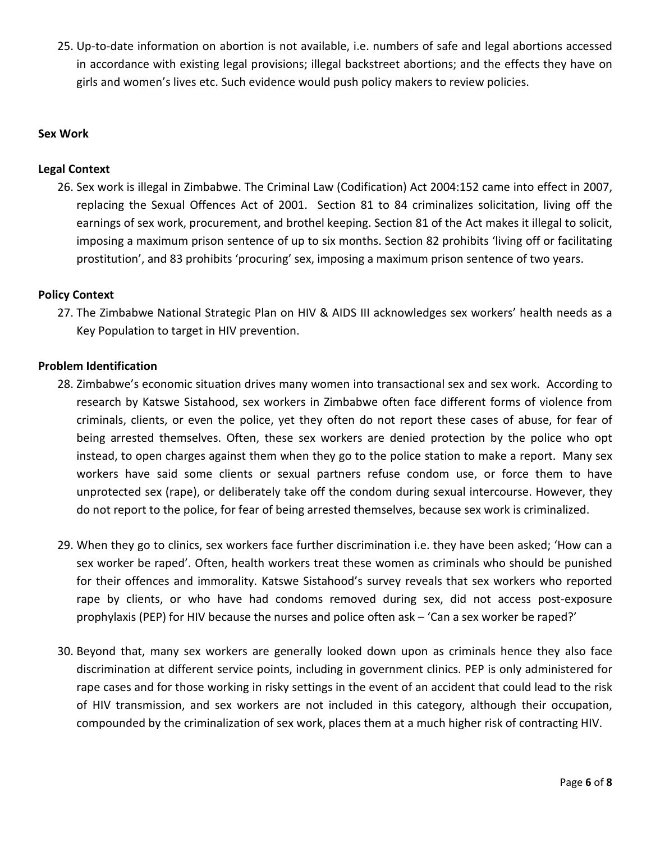25. Up-to-date information on abortion is not available, i.e. numbers of safe and legal abortions accessed in accordance with existing legal provisions; illegal backstreet abortions; and the effects they have on girls and women's lives etc. Such evidence would push policy makers to review policies.

## **Sex Work**

## **Legal Context**

26. Sex work is illegal in Zimbabwe. The Criminal Law (Codification) Act 2004:152 came into effect in 2007, replacing the Sexual Offences Act of 2001. Section 81 to 84 criminalizes solicitation, living off the earnings of sex work, procurement, and brothel keeping. Section 81 of the Act makes it illegal to solicit, imposing a maximum prison sentence of up to six months. Section 82 prohibits 'living off or facilitating prostitution', and 83 prohibits 'procuring' sex, imposing a maximum prison sentence of two years.

## **Policy Context**

27. The Zimbabwe National Strategic Plan on HIV & AIDS III acknowledges sex workers' health needs as a Key Population to target in HIV prevention.

#### **Problem Identification**

- 28. Zimbabwe's economic situation drives many women into transactional sex and sex work. According to research by Katswe Sistahood, sex workers in Zimbabwe often face different forms of violence from criminals, clients, or even the police, yet they often do not report these cases of abuse, for fear of being arrested themselves. Often, these sex workers are denied protection by the police who opt instead, to open charges against them when they go to the police station to make a report. Many sex workers have said some clients or sexual partners refuse condom use, or force them to have unprotected sex (rape), or deliberately take off the condom during sexual intercourse. However, they do not report to the police, for fear of being arrested themselves, because sex work is criminalized.
- 29. When they go to clinics, sex workers face further discrimination i.e. they have been asked; 'How can a sex worker be raped'. Often, health workers treat these women as criminals who should be punished for their offences and immorality. Katswe Sistahood's survey reveals that sex workers who reported rape by clients, or who have had condoms removed during sex, did not access post-exposure prophylaxis (PEP) for HIV because the nurses and police often ask – 'Can a sex worker be raped?'
- 30. Beyond that, many sex workers are generally looked down upon as criminals hence they also face discrimination at different service points, including in government clinics. PEP is only administered for rape cases and for those working in risky settings in the event of an accident that could lead to the risk of HIV transmission, and sex workers are not included in this category, although their occupation, compounded by the criminalization of sex work, places them at a much higher risk of contracting HIV.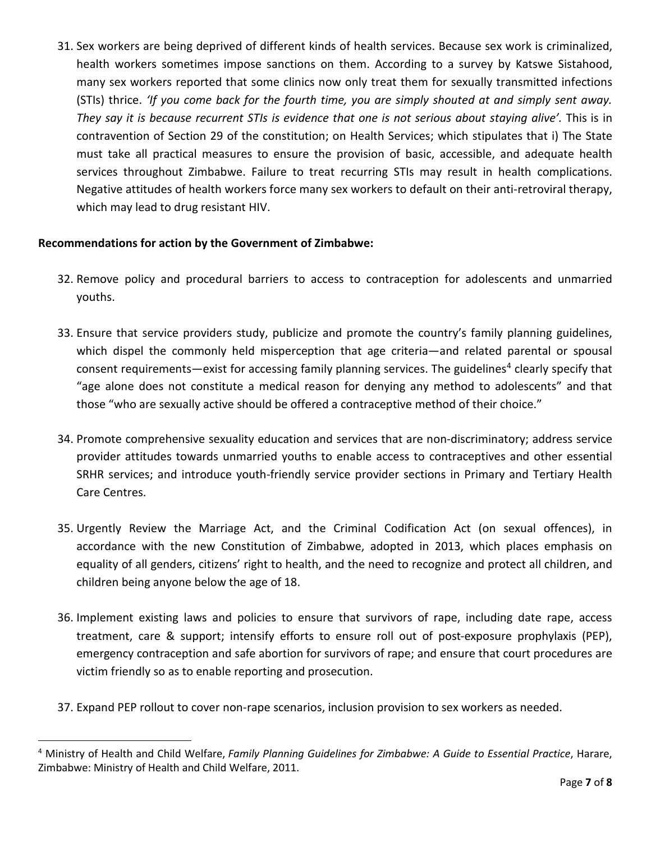31. Sex workers are being deprived of different kinds of health services. Because sex work is criminalized, health workers sometimes impose sanctions on them. According to a survey by Katswe Sistahood, many sex workers reported that some clinics now only treat them for sexually transmitted infections (STIs) thrice. *'If you come back for the fourth time, you are simply shouted at and simply sent away. They say it is because recurrent STIs is evidence that one is not serious about staying alive'.* This is in contravention of Section 29 of the constitution; on Health Services; which stipulates that i) The State must take all practical measures to ensure the provision of basic, accessible, and adequate health services throughout Zimbabwe. Failure to treat recurring STIs may result in health complications. Negative attitudes of health workers force many sex workers to default on their anti-retroviral therapy, which may lead to drug resistant HIV.

# **Recommendations for action by the Government of Zimbabwe:**

- 32. Remove policy and procedural barriers to access to contraception for adolescents and unmarried youths.
- 33. Ensure that service providers study, publicize and promote the country's family planning guidelines, which dispel the commonly held misperception that age criteria—and related parental or spousal consent requirements—exist for accessing family planning services. The guidelines<sup>[4](#page-6-0)</sup> clearly specify that "age alone does not constitute a medical reason for denying any method to adolescents" and that those "who are sexually active should be offered a contraceptive method of their choice."
- 34. Promote comprehensive sexuality education and services that are non-discriminatory; address service provider attitudes towards unmarried youths to enable access to contraceptives and other essential SRHR services; and introduce youth-friendly service provider sections in Primary and Tertiary Health Care Centres.
- 35. Urgently Review the Marriage Act, and the Criminal Codification Act (on sexual offences), in accordance with the new Constitution of Zimbabwe, adopted in 2013, which places emphasis on equality of all genders, citizens' right to health, and the need to recognize and protect all children, and children being anyone below the age of 18.
- 36. Implement existing laws and policies to ensure that survivors of rape, including date rape, access treatment, care & support; intensify efforts to ensure roll out of post-exposure prophylaxis (PEP), emergency contraception and safe abortion for survivors of rape; and ensure that court procedures are victim friendly so as to enable reporting and prosecution.
- 37. Expand PEP rollout to cover non-rape scenarios, inclusion provision to sex workers as needed.

<span id="page-6-0"></span> <sup>4</sup> Ministry of Health and Child Welfare, *Family Planning Guidelines for Zimbabwe: A Guide to Essential Practice*, Harare, Zimbabwe: Ministry of Health and Child Welfare, 2011.